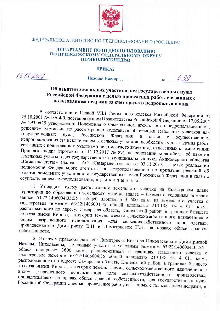

## ФЕДЕРАЛЬНОЕ АГЕНТСТВО ПО НЕДРОПОЛЬЗОВАНИЮ (РОСНЕДРА)

## ДЕПАРТАМЕНТ ПО НЕДРОПОЛЬЗОВАНИЮ ПО ПРИВОЛЖСКОМУ ФЕДЕРАЛЬНОМУ ОКРУГУ (ПРИВОЛЖСКНЕДРА)

## **ПРИКАЗ**

 $13.12.0011$ 

Нижний Новгород

## Об изъятии земельных участков для государственных нужд Российской Федерации с целью проведения работ, связанных с пользованием недрами за счет средств недропользования

В соответствии с Главой VII.1 Земельного кодекса Российской Федерации от 25.10.2001 № 136-ФЗ, постановлением Правительства Российской Федерации от 17.06.2004 № 293 «Об утверждении Положения о Федеральном агентстве по недропользованию», решением Комиссии по рассмотрению ходатайств об изъятии земельных участков для государственных нужд Российской Федерации  $\mathbf{B}$ связи  $\mathbf{c}$ осуществлением недропользования (за исключением земельных участков, необходимых для ведения работ, связанных с пользованием участками недр местного значения), отнесенных к компетенции Приволжскнедра (протокол от 11.12.2017 № 89), на основании ходатайства об изъятии земельных участков для государственных и муниципальных нужд Акционерного общества «Самаранефтегаз» (далее - АО «Самаранефтегаз») от 03.11.2017, в целях реализации полномочий Федерального агентства по недропользованию по принятию решений об изъятии земельных участков для государственных нужд Российской Федерации в связи с осуществлением недропользования, приказываю:

1. Утвердить схему расположения земельного участка на кадастровом плане территории по образованию земельного участка (далее - Схема) с условным номером записи 63:22:1406004:35:3У1 общей площадью 3 600 кв.м. из земельного участка с кадастровым номером 63:22:1406004:35 общей площадью 210 138 +/- 4 011 кв.м., расположенного по адресу: Самарская область, Кинельский район, в границах бывшего колхоза имени Кирова, категории земель «земли сельскохозяйственного назначения» с разрешенного видом использования «для сельскохозяйственного производства», принадлежащего Димитриеву В.Н и Димитриевой Н.Н. на правах общей долевой собственности.

2. Изъять у правообладателей: Димитриева Виктора Николаевича и Димитриевой Натальи Николаевны, земельный участок с условным номером 63:22:1406004:35:3У1 общей площадью 3600 кв.м., расположенный в границах земельного участка с кадастровым номером 63:22:1406004:35 общей площадью 210 138 +/- 4 011 кв.м., расположенного по адресу: Самарская область, Кинельский район, в границах бывшего колхоза имени Кирова, категории земель «земли сельскохозяйственного назначения» с видом разрешенного использования «для сельскохозяйственного производства». принадлежащего на правах общей долевой собственности, для государственных нужд Российской Федерации с целью проведения работ, связанных с пользованием недрами, и

Ť

539

 $N_2$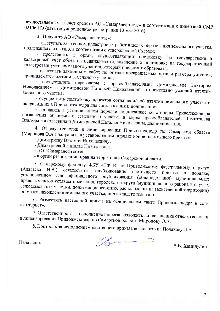осуществляемых за счет средств АО «Самаранефтегаз» в соответствии с лицензией СМР 02106 НЭ (дата государственной регистрации 13 мая 2016).

3. Поручить АО «Самаранефтегаз»:

- выступать заказчиком кадастровых работ в целях образования земельного участка, подлежащего изъятию, в соответствии с утвержденной Схемой;

представить в орган, осуществляющий постановку на государственный кадастровый учет объектов недвижимости, заявление о постановке на государственный кадастровый учет земельного участка, который предстоит образовать;

- выступать заказчиком работ по оценке прекращаемых прав и размера убытков, причиняемых изъятием земельного участка;

- осуществлять переговоры с правообладателями: Димитриевым Виктором Николаевичем и Димитриевой Натальей Николаевной, относительно условий изъятия земельного участка;

- осуществить подготовку проектов соглашений об изъятии земельного участка и направить их в Приволжскнедра для согласования и подписания;

- направить в установленном порядке подписанные со стороны Приволжскнедра соглашения об изъятии земельного участка в адрес правообладателей: Димитриева Виктора Николаевича и Димитриевой Натальи Николаевны, для подписания.

4. Отделу геологии и лицензирования Приволжскнедр по Самарской области (Миронова О.А.) направить в установленном порядке копию настоящего приказа:

- Димитриеву Виктору Николаевичу;

- Димитриевой Наталье Николаевне;

- АО «Самаранефтегаз»;

- в орган регистрации прав на территории Самарской области.

5. Самарскому филиалу ФБУ «ТФГИ по Приволжскому федеральному округу» (Альгаева  $(H.B.)$ осуществить опубликование настоящего приказа  $\mathbf{B}$ порядке, установленном для официального опубликования (обнародования) муниципальных правовых актов уставом поселения, городского округа (муниципального района в случае, если земельные участки, подлежащие изъятию, расположены на межселенной территории) по месту нахождения земельного участка, подлежащего изъятию.

6. Разместить настоящий приказ на официальном сайте Приволжскнедра в сети «Интернет».

7. Ответственность за исполнение приказа возложить на начальника отдела геологии и лицензирования Приволжскнедр по Самарской области Миронову О.А.

8. Контроль за исполнением настоящего приказа возложить на Полякову Л.А.

Начальник

В.В. Хамидулин